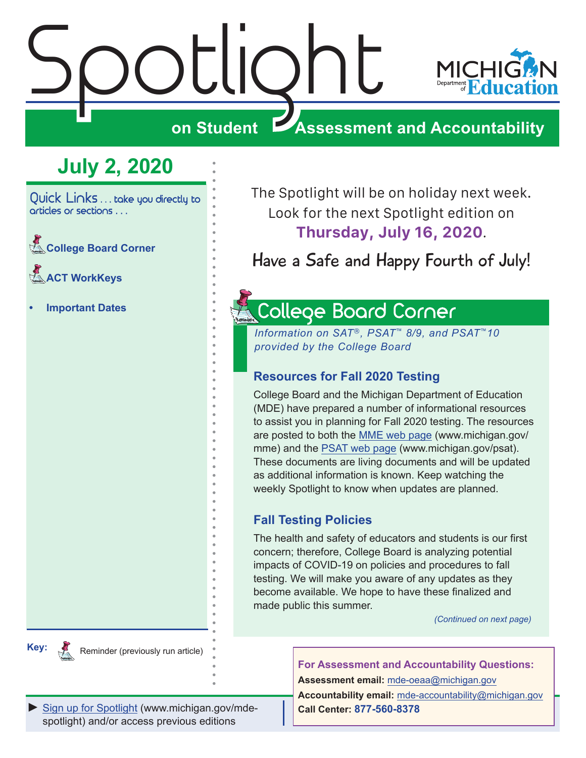# <span id="page-0-0"></span>stilor<br>Spotlight

**Reminders** 



**on Student Assessment and Accountability**

# **July 2, 2020**

Quick Links . . . take you directly to articles or sections . . .

**Reminders Board Corner** 

Reminders **[ACT WorkKeys](#page-2-0)** 

**• [Important Dates](#page-3-0)**

**Key:**

**Remindered** 

The Spotlight will be on holiday next week. Look for the next Spotlight edition on **Thursday, July 16, 2020**.

Have a Safe and Happy Fourth of July!

# <span id="page-0-1"></span>College Board Corner

*Information on SAT*®*, PSAT*™ *8/9, and PSAT*™*10 provided by the College Board*

# **Resources for Fall 2020 Testing**

College Board and the Michigan Department of Education (MDE) have prepared a number of informational resources to assist you in planning for Fall 2020 testing. The resources are posted to both the [MME web page](www.michigan.gov/mme) (www.michigan.gov/ mme) and the [PSAT web page](http://www.michigan.gov/psat) (www.michigan.gov/psat). These documents are living documents and will be updated as additional information is known. Keep watching the weekly Spotlight to know when updates are planned.

# **Fall Testing Policies**

The health and safety of educators and students is our first concern; therefore, College Board is analyzing potential impacts of COVID-19 on policies and procedures to fall testing. We will make you aware of any updates as they become available. We hope to have these finalized and made public this summer.

*(Continued on next page)*

**For Assessment and Accountability Questions:**

**Assessment email:** mde-oeaa[@michigan.gov](mailto:mde-oeaa%40michigan.gov?subject=assessment%20question) **Accountability email:** mde[-accountability@michigan.gov](mailto:MDE-Accountability%40michigan.gov?subject=Accountability%20question) **Call Center: 877-560-8378**

[Sign up for Spotlight](https://public.govdelivery.com/accounts/MIMDE/subscriber/new) [\(www.michigan.gov/mde](www.michigan.gov/mde-spotlight)spotlight) and/or access previous editions

Reminder (previously run article)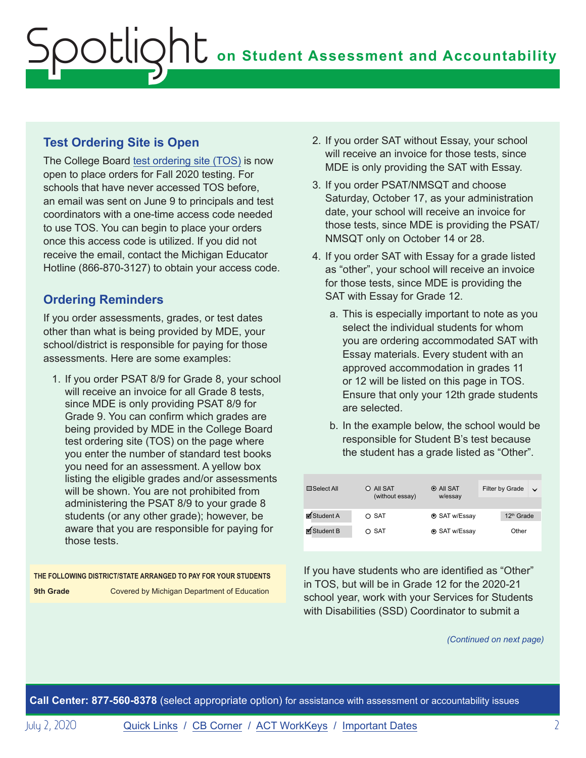# **Test Ordering Site is Open**

The College Board [test ordering site \(TOS\)](https://professionals.collegeboard.org/test-ordering-services) is now open to place orders for Fall 2020 testing. For schools that have never accessed TOS before, an email was sent on June 9 to principals and test coordinators with a one-time access code needed to use TOS. You can begin to place your orders once this access code is utilized. If you did not receive the email, contact the Michigan Educator Hotline (866-870-3127) to obtain your access code.

# **Ordering Reminders**

If you order assessments, grades, or test dates other than what is being provided by MDE, your school/district is responsible for paying for those assessments. Here are some examples:

1. If you order PSAT 8/9 for Grade 8, your school will receive an invoice for all Grade 8 tests, since MDE is only providing PSAT 8/9 for Grade 9. You can confirm which grades are being provided by MDE in the College Board test ordering site (TOS) on the page where you enter the number of standard test books you need for an assessment. A yellow box listing the eligible grades and/or assessments will be shown. You are not prohibited from administering the PSAT 8/9 to your grade 8 students (or any other grade); however, be aware that you are responsible for paying for those tests.

**THE FOLLOWING DISTRICT/STATE ARRANGED TO PAY FOR YOUR STUDENTS 9th Grade Covered by Michigan Department of Education** 

- 2. If you order SAT without Essay, your school will receive an invoice for those tests, since MDE is only providing the SAT with Essay.
- 3. If you order PSAT/NMSQT and choose Saturday, October 17, as your administration date, your school will receive an invoice for those tests, since MDE is providing the PSAT/ NMSQT only on October 14 or 28.
- 4. If you order SAT with Essay for a grade listed as "other", your school will receive an invoice for those tests, since MDE is providing the SAT with Essay for Grade 12.
	- a. This is especially important to note as you select the individual students for whom you are ordering accommodated SAT with Essay materials. Every student with an approved accommodation in grades 11 or 12 will be listed on this page in TOS. Ensure that only your 12th grade students are selected.
	- b. In the example below, the school would be responsible for Student B's test because the student has a grade listed as "Other".

| $\Box$ Select All | O All SAT<br>(without essay) | $\odot$ All SAT<br>w/essay | Filter by Grade | $\checkmark$ |
|-------------------|------------------------------|----------------------------|-----------------|--------------|
|                   |                              |                            |                 |              |
| ■ Student A       | $\circ$ SAT                  | <b>⊙</b> SAT w/Essay       | $12th$ Grade    |              |
| ■ Student B       | $\circ$ SAT                  | <b>⊙</b> SAT w/Essay       | Other           |              |
|                   |                              |                            |                 |              |

If you have students who are identified as "Other" in TOS, but will be in Grade 12 for the 2020-21 school year, work with your Services for Students with Disabilities (SSD) Coordinator to submit a

*(Continued on next page)*

**Call Center: 877-560-8378** (select appropriate option) for assistance with assessment or accountability issues

July 2, 2020 [Quick Links](#page-0-0) / [CB Corner](#page-0-1) / [ACT WorkKeys](#page-2-1) / [Important Dates](#page-3-1) 2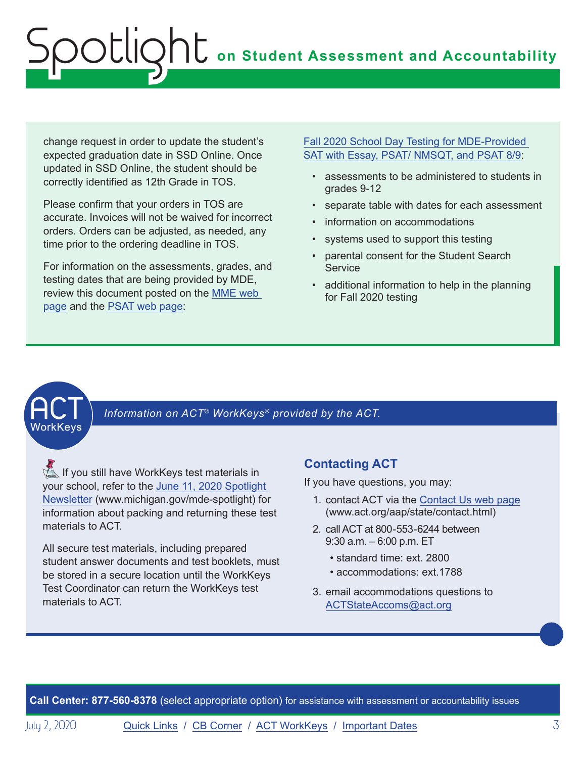<span id="page-2-0"></span>change request in order to update the student's expected graduation date in SSD Online. Once updated in SSD Online, the student should be correctly identified as 12th Grade in TOS.

Please confirm that your orders in TOS are accurate. Invoices will not be waived for incorrect orders. Orders can be adjusted, as needed, any time prior to the ordering deadline in TOS.

For information on the assessments, grades, and testing dates that are being provided by MDE, review this document posted on the [MME web](www.michigan.gov/mme)  [page](www.michigan.gov/mme) and the [PSAT web page](http://www.michigan.gov/psat):

# [Fall 2020 School Day Testing for MDE-Provided](https://www.michigan.gov/documents/mde/Fall_2020_School_Day_Testing_for_MDE_Provided_Assessments_690609_7.pdf)  [SAT with Essay, PSAT/ NMSQT, and PSAT 8/9:](https://www.michigan.gov/documents/mde/Fall_2020_School_Day_Testing_for_MDE_Provided_Assessments_690609_7.pdf)

- assessments to be administered to students in grades 9-12
- separate table with dates for each assessment
- information on accommodations
- systems used to support this testing
- parental consent for the Student Search **Service**
- additional information to help in the planning for Fall 2020 testing

# <span id="page-2-1"></span>**ACT**

Information on ACT<sup>®</sup> WorkKeys<sup>®</sup> provided by the ACT.

**Reminders** If you still have WorkKeys test materials in your school, refer to the [June 11, 2020 Spotlight](https://www.michigan.gov/documents/mde/Spotlight_6-11-20_693650_7.pdf)  [Newsletter](https://www.michigan.gov/documents/mde/Spotlight_6-11-20_693650_7.pdf) (www.michigan.gov/mde-spotlight) for information about packing and returning these test materials to ACT.

All secure test materials, including prepared student answer documents and test booklets, must be stored in a secure location until the WorkKeys Test Coordinator can return the WorkKeys test materials to ACT.

# **Contacting ACT**

If you have questions, you may:

- 1. contact ACT via the [Contact Us web page](http://www.act.org/aap/state/contact.html) [\(www.act.org/aap/state/contact.html\)](https://www.act.org/aap/state/contact.html)
- 2. call ACT at 800-553-6244 between 9:30 a.m. – 6:00 p.m. ET
	- standard time: ext. 2800
	- accommodations: ext.1788
- 3. email accommodations questions to [ACTStateAccoms@act.org](mailto:ACTStateAccoms%40act.org?subject=)

**Call Center: 877-560-8378** (select appropriate option) for assistance with assessment or accountability issues

July 2, 2020 **[Quick Links](#page-0-0) / [CB Corner](#page-0-1) / [ACT WorkKeys](#page-2-1) / [Important Dates](#page-3-1)** 3